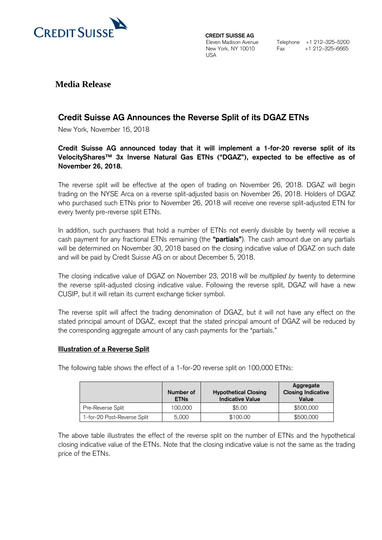

**CREDIT SUISSE AG** Eleven Madison Avenue New York, NY 10010 USA

Telephone +1 212–325–5200 Fax +1 212–325–6665

## **Media Release**

# **Credit Suisse AG Announces the Reverse Split of its DGAZ ETNs**

New York, November 16, 2018

## **Credit Suisse AG announced today that it will implement a 1-for-20 reverse split of its VelocityShares™ 3x Inverse Natural Gas ETNs ("DGAZ"), expected to be effective as of November 26, 2018.**

The reverse split will be effective at the open of trading on November 26, 2018. DGAZ will begin trading on the NYSE Arca on a reverse split-adjusted basis on November 26, 2018. Holders of DGAZ who purchased such ETNs prior to November 26, 2018 will receive one reverse split-adjusted ETN for every twenty pre-reverse split ETNs.

In addition, such purchasers that hold a number of ETNs not evenly divisible by twenty will receive a cash payment for any fractional ETNs remaining (the **"partials"**). The cash amount due on any partials will be determined on November 30, 2018 based on the closing indicative value of DGAZ on such date and will be paid by Credit Suisse AG on or about December 5, 2018.

The closing indicative value of DGAZ on November 23, 2018 will be *multiplied by* twenty to determine the reverse split-adjusted closing indicative value. Following the reverse split, DGAZ will have a new CUSIP, but it will retain its current exchange ticker symbol.

The reverse split will affect the trading denomination of DGAZ, but it will not have any effect on the stated principal amount of DGAZ, except that the stated principal amount of DGAZ will be reduced by the corresponding aggregate amount of any cash payments for the "partials."

### **Illustration of a Reverse Split**

The following table shows the effect of a 1-for-20 reverse split on 100,000 ETNs:

|                             | Number of<br><b>ETNs</b> | <b>Hypothetical Closing</b><br><b>Indicative Value</b> | Aggregate<br><b>Closing Indicative</b><br>Value |
|-----------------------------|--------------------------|--------------------------------------------------------|-------------------------------------------------|
| Pre-Reverse Split           | 100.000                  | \$5.00                                                 | \$500,000                                       |
| 1-for-20 Post-Reverse Split | 5,000                    | \$100.00                                               | \$500,000                                       |

The above table illustrates the effect of the reverse split on the number of ETNs and the hypothetical closing indicative value of the ETNs. Note that the closing indicative value is not the same as the trading price of the ETNs.